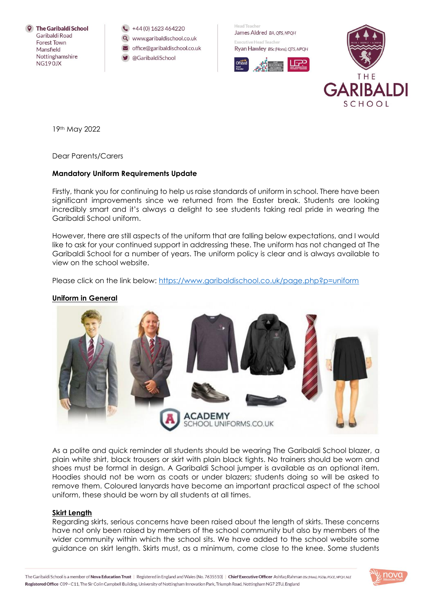

 $\leftarrow$  +44 (0) 1623 464220

- Q www.garibaldischool.co.uk
- office@garibaldischool.co.uk
- @GaribaldiSchool

Hearl Teacher James Aldred BA. OTS. NPOH Everytive Head Teacher





19th May 2022

Dear Parents/Carers

## **Mandatory Uniform Requirements Update**

Firstly, thank you for continuing to help us raise standards of uniform in school. There have been significant improvements since we returned from the Easter break. Students are looking incredibly smart and it's always a delight to see students taking real pride in wearing the Garibaldi School uniform.

However, there are still aspects of the uniform that are falling below expectations, and I would like to ask for your continued support in addressing these. The uniform has not changed at The Garibaldi School for a number of years. The uniform policy is clear and is always available to view on the school website.

Please click on the link below:<https://www.garibaldischool.co.uk/page.php?p=uniform>

## **Uniform in General**



As a polite and quick reminder all students should be wearing The Garibaldi School blazer, a plain white shirt, black trousers or skirt with plain black tights. No trainers should be worn and shoes must be formal in design. A Garibaldi School jumper is available as an optional item. Hoodies should not be worn as coats or under blazers; students doing so will be asked to remove them. Coloured lanyards have become an important practical aspect of the school uniform, these should be worn by all students at all times.

## **Skirt Length**

Regarding skirts, serious concerns have been raised about the length of skirts. These concerns have not only been raised by members of the school community but also by members of the wider community within which the school sits. We have added to the school website some guidance on skirt length. Skirts must, as a minimum, come close to the knee. Some students